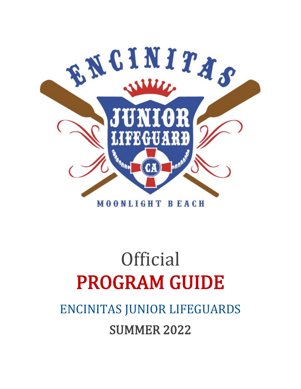

# **Official** PROGRAM GUIDE

## ENCINITAS JUNIOR LIFEGUARDS SUMMER 2022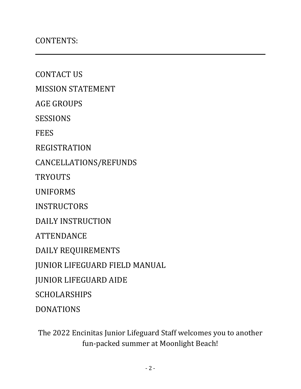CONTACT US

MISSION STATEMENT

AGE GROUPS

SESSIONS

**FEES** 

REGISTRATION

CANCELLATIONS/REFUNDS

**TRYOUTS** 

UNIFORMS

**INSTRUCTORS** 

DAILY INSTRUCTION

ATTENDANCE

DAILY REQUIREMENTS

JUNIOR LIFEGUARD FIELD MANUAL

JUNIOR LIFEGUARD AIDE

**SCHOLARSHIPS** 

DONATIONS

The 2022 Encinitas Junior Lifeguard Staff welcomes you to another fun-packed summer at Moonlight Beach!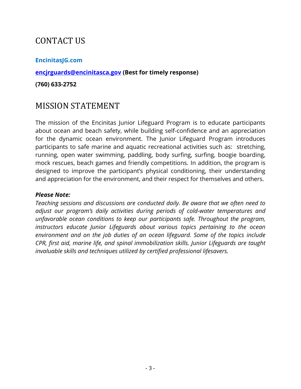## CONTACT US

#### **[EncinitasJG.com](http://www.encinitasjg.com/)**

#### **[encjrguards@encinitasca.gov](mailto:encjrguards@encinitasca.gov) (Best for timely response)**

#### **(760) 633-2752**

## MISSION STATEMENT

The mission of the Encinitas Junior Lifeguard Program is to educate participants about ocean and beach safety, while building self-confidence and an appreciation for the dynamic ocean environment. The Junior Lifeguard Program introduces participants to safe marine and aquatic recreational activities such as: stretching, running, open water swimming, paddling, body surfing, surfing, boogie boarding, mock rescues, beach games and friendly competitions. In addition, the program is designed to improve the participant's physical conditioning, their understanding and appreciation for the environment, and their respect for themselves and others.

#### *Please Note:*

*Teaching sessions and discussions are conducted daily. Be aware that we often need to adjust our program's daily activities during periods of cold-water temperatures and unfavorable ocean conditions to keep our participants safe. Throughout the program, instructors educate Junior Lifeguards about various topics pertaining to the ocean environment and on the job duties of an ocean lifeguard. Some of the topics include CPR, first aid, marine life, and spinal immobilization skills. Junior Lifeguards are taught invaluable skills and techniques utilized by certified professional lifesavers.*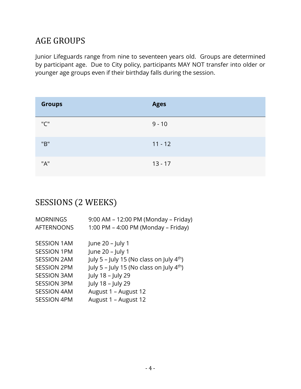## AGE GROUPS

Junior Lifeguards range from nine to seventeen years old. Groups are determined by participant age. Due to City policy, participants MAY NOT transfer into older or younger age groups even if their birthday falls during the session.

| <b>Groups</b> | <b>Ages</b> |
|---------------|-------------|
| "C"           | $9 - 10$    |
| "B"           | $11 - 12$   |
| "A"           | $13 - 17$   |

## SESSIONS (2 WEEKS)

| <b>MORNINGS</b>    | 9:00 AM - 12:00 PM (Monday - Friday)          |
|--------------------|-----------------------------------------------|
| <b>AFTERNOONS</b>  | 1:00 PM - 4:00 PM (Monday - Friday)           |
|                    |                                               |
| <b>SESSION 1AM</b> | June 20 - July 1                              |
| <b>SESSION 1PM</b> | June 20 - July 1                              |
| <b>SESSION 2AM</b> | July 5 - July 15 (No class on July $4th$ )    |
| <b>SESSION 2PM</b> | July 5 – July 15 (No class on July $4^{th}$ ) |
| <b>SESSION 3AM</b> | July 18 - July 29                             |
| <b>SESSION 3PM</b> | July 18 - July 29                             |
| <b>SESSION 4AM</b> | August 1 - August 12                          |
| <b>SESSION 4PM</b> | August 1 - August 12                          |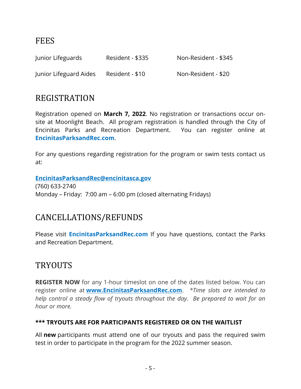## **FEES**

| Junior Lifeguards      | Resident - \$335 | Non-Resident - \$345 |
|------------------------|------------------|----------------------|
| Junior Lifeguard Aides | Resident - \$10  | Non-Resident - \$20  |

### REGISTRATION

Registration opened on **March 7, 2022**. No registration or transactions occur onsite at Moonlight Beach. All program registration is handled through the City of Encinitas Parks and Recreation Department. You can register online at **[EncinitasParksandRec.com](http://www.encinitasparksandrec.com/)**.

For any questions regarding registration for the program or swim tests contact us at:

**[EncinitasParksandRec@encinitasca.gov](mailto:EncinitasParksandRec@encinitasca.gov)** (760) 633-2740

Monday – Friday: 7:00 am – 6:00 pm (closed alternating Fridays)

## CANCELLATIONS/REFUNDS

Please visit **[EncinitasParksandRec.com](http://www.encinitasparksandrec.com/)** If you have questions, contact the Parks and Recreation Department.

## **TRYOUTS**

**REGISTER NOW** for any 1-hour timeslot on one of the dates listed below. You can register online at **[www.EncinitasParksandRec.com](http://www.encinitasparksandrec.com/)**. *\*Time slots are intended to help control a steady flow of tryouts throughout the day. Be prepared to wait for an hour or more.* 

#### **\*\*\* TRYOUTS ARE FOR PARTICIPANTS REGISTERED OR ON THE WAITLIST**

All **new** participants must attend one of our tryouts and pass the required swim test in order to participate in the program for the 2022 summer season.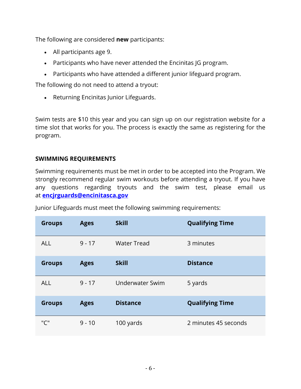The following are considered **new** participants:

- All participants age 9.
- Participants who have never attended the Encinitas JG program.
- Participants who have attended a different junior lifeguard program.

The following do not need to attend a tryout:

• Returning Encinitas Junior Lifeguards.

Swim tests are \$10 this year and you can sign up on our registration website for a time slot that works for you. The process is exactly the same as registering for the program.

#### **SWIMMING REQUIREMENTS**

Swimming requirements must be met in order to be accepted into the Program. We strongly recommend regular swim workouts before attending a tryout. If you have any questions regarding tryouts and the swim test, please email us at **[encjrguards@encinitasca.gov](mailto:encjrguards@encinitasca.gov)**

| <b>Groups</b> | <b>Ages</b> | <b>Skill</b>           | <b>Qualifying Time</b> |
|---------------|-------------|------------------------|------------------------|
| <b>ALL</b>    | $9 - 17$    | <b>Water Tread</b>     | 3 minutes              |
| <b>Groups</b> | <b>Ages</b> | <b>Skill</b>           | <b>Distance</b>        |
| <b>ALL</b>    | $9 - 17$    | <b>Underwater Swim</b> | 5 yards                |
| <b>Groups</b> | <b>Ages</b> | <b>Distance</b>        | <b>Qualifying Time</b> |
| ייריי         | $9 - 10$    | 100 yards              | 2 minutes 45 seconds   |

Junior Lifeguards must meet the following swimming requirements: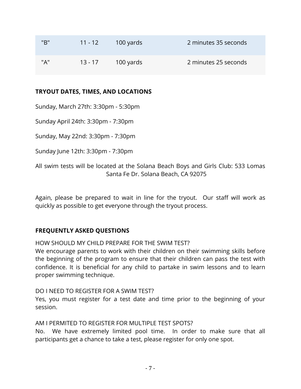| "B" | $11 - 12$ | 100 yards | 2 minutes 35 seconds |
|-----|-----------|-----------|----------------------|
| "A" | $13 - 17$ | 100 yards | 2 minutes 25 seconds |

#### **TRYOUT DATES, TIMES, AND LOCATIONS**

Sunday, March 27th: 3:30pm - 5:30pm

Sunday April 24th: 3:30pm - 7:30pm

Sunday, May 22nd: 3:30pm - 7:30pm

Sunday June 12th: 3:30pm - 7:30pm

All swim tests will be located at the Solana Beach Boys and Girls Club: 533 Lomas Santa Fe Dr. Solana Beach, CA 92075

Again, please be prepared to wait in line for the tryout. Our staff will work as quickly as possible to get everyone through the tryout process.

#### **FREQUENTLY ASKED QUESTIONS**

HOW SHOULD MY CHILD PREPARE FOR THE SWIM TEST?

We encourage parents to work with their children on their swimming skills before the beginning of the program to ensure that their children can pass the test with confidence. It is beneficial for any child to partake in swim lessons and to learn proper swimming technique.

#### DO I NEED TO REGISTER FOR A SWIM TEST?

Yes, you must register for a test date and time prior to the beginning of your session.

#### AM I PERMITED TO REGISTER FOR MULTIPLE TEST SPOTS?

No. We have extremely limited pool time. In order to make sure that all participants get a chance to take a test, please register for only one spot.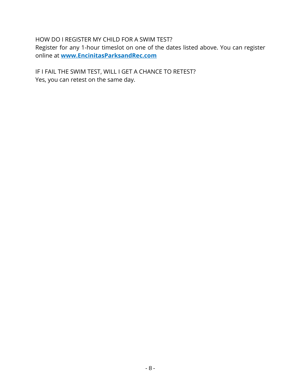#### HOW DO I REGISTER MY CHILD FOR A SWIM TEST?

Register for any 1-hour timeslot on one of the dates listed above. You can register online at **[www.EncinitasParksandRec.com](http://www.encinitasparksandrec.com/)**

IF I FAIL THE SWIM TEST, WILL I GET A CHANCE TO RETEST? Yes, you can retest on the same day.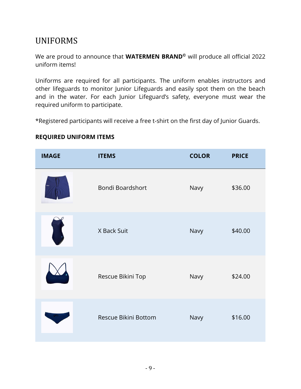## UNIFORMS

We are proud to announce that **WATERMEN BRAND©** will produce all official 2022 uniform items!

Uniforms are required for all participants. The uniform enables instructors and other lifeguards to monitor Junior Lifeguards and easily spot them on the beach and in the water. For each Junior Lifeguard's safety, everyone must wear the required uniform to participate.

\*Registered participants will receive a free t-shirt on the first day of Junior Guards.

| <b>IMAGE</b> | <b>ITEMS</b>         | <b>COLOR</b> | <b>PRICE</b> |
|--------------|----------------------|--------------|--------------|
|              | Bondi Boardshort     | Navy         | \$36.00      |
|              | X Back Suit          | Navy         | \$40.00      |
|              | Rescue Bikini Top    | Navy         | \$24.00      |
|              | Rescue Bikini Bottom | Navy         | \$16.00      |

#### **REQUIRED UNIFORM ITEMS**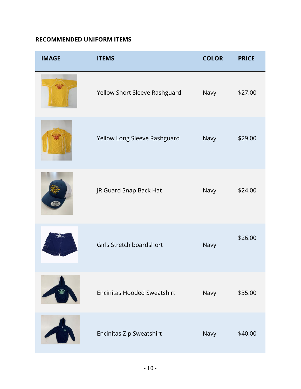#### **RECOMMENDED UNIFORM ITEMS**

| <b>IMAGE</b> | <b>ITEMS</b>                       | <b>COLOR</b> | <b>PRICE</b> |
|--------------|------------------------------------|--------------|--------------|
|              | Yellow Short Sleeve Rashguard      | Navy         | \$27.00      |
|              | Yellow Long Sleeve Rashguard       | Navy         | \$29.00      |
|              | JR Guard Snap Back Hat             | Navy         | \$24.00      |
|              | Girls Stretch boardshort           | Navy         | \$26.00      |
|              | <b>Encinitas Hooded Sweatshirt</b> | Navy         | \$35.00      |
|              | Encinitas Zip Sweatshirt           | Navy         | \$40.00      |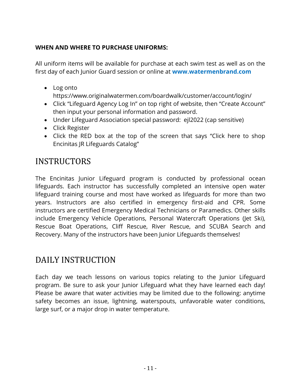#### **WHEN AND WHERE TO PURCHASE UNIFORMS:**

All uniform items will be available for purchase at each swim test as well as on the first day of each Junior Guard session or online at **[www.watermenbrand.com](http://www.watermenbrand.com/)**

• Log onto

https://www.originalwatermen.com/boardwalk/customer/account/login/

- Click "Lifeguard Agency Log In" on top right of website, then "Create Account" then input your personal information and password.
- Under Lifeguard Association special password: ejl2022 (cap sensitive)
- Click Register
- Click the RED box at the top of the screen that says "Click here to shop Encinitas JR Lifeguards Catalog"

## **INSTRUCTORS**

The Encinitas Junior Lifeguard program is conducted by professional ocean lifeguards. Each instructor has successfully completed an intensive open water lifeguard training course and most have worked as lifeguards for more than two years. Instructors are also certified in emergency first-aid and CPR. Some instructors are certified Emergency Medical Technicians or Paramedics. Other skills include Emergency Vehicle Operations, Personal Watercraft Operations (Jet Ski), Rescue Boat Operations, Cliff Rescue, River Rescue, and SCUBA Search and Recovery. Many of the instructors have been Junior Lifeguards themselves!

## DAILY INSTRUCTION

Each day we teach lessons on various topics relating to the Junior Lifeguard program. Be sure to ask your Junior Lifeguard what they have learned each day! Please be aware that water activities may be limited due to the following: anytime safety becomes an issue, lightning, waterspouts, unfavorable water conditions, large surf, or a major drop in water temperature.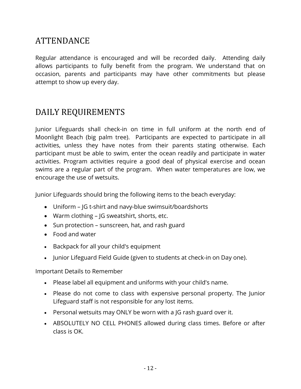## ATTENDANCE

Regular attendance is encouraged and will be recorded daily. Attending daily allows participants to fully benefit from the program. We understand that on occasion, parents and participants may have other commitments but please attempt to show up every day.

## DAILY REQUIREMENTS

Junior Lifeguards shall check-in on time in full uniform at the north end of Moonlight Beach (big palm tree). Participants are expected to participate in all activities, unless they have notes from their parents stating otherwise. Each participant must be able to swim, enter the ocean readily and participate in water activities. Program activities require a good deal of physical exercise and ocean swims are a regular part of the program. When water temperatures are low, we encourage the use of wetsuits.

Junior Lifeguards should bring the following items to the beach everyday:

- Uniform JG t-shirt and navy-blue swimsuit/boardshorts
- Warm clothing JG sweatshirt, shorts, etc.
- Sun protection sunscreen, hat, and rash guard
- Food and water
- Backpack for all your child's equipment
- Junior Lifeguard Field Guide (given to students at check-in on Day one).

Important Details to Remember

- Please label all equipment and uniforms with your child's name.
- Please do not come to class with expensive personal property. The Junior Lifeguard staff is not responsible for any lost items.
- Personal wetsuits may ONLY be worn with a JG rash guard over it.
- ABSOLUTELY NO CELL PHONES allowed during class times. Before or after class is OK.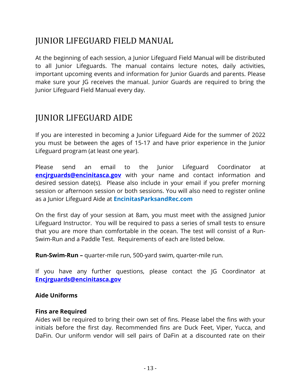## JUNIOR LIFEGUARD FIELD MANUAL

At the beginning of each session, a Junior Lifeguard Field Manual will be distributed to all Junior Lifeguards. The manual contains lecture notes, daily activities, important upcoming events and information for Junior Guards and parents. Please make sure your JG receives the manual. Junior Guards are required to bring the Junior Lifeguard Field Manual every day.

## JUNIOR LIFEGUARD AIDE

If you are interested in becoming a Junior Lifeguard Aide for the summer of 2022 you must be between the ages of 15-17 and have prior experience in the Junior Lifeguard program (at least one year).

Please send an email to the Junior Lifeguard Coordinator at **encirguards@encinitasca.gov** with your name and contact information and desired session date(s). Please also include in your email if you prefer morning session or afternoon session or both sessions. You will also need to register online as a Junior Lifeguard Aide at **[EncinitasParksandRec.com](http://www.encinitasparksandrec.com/)**

On the first day of your session at 8am, you must meet with the assigned Junior Lifeguard Instructor. You will be required to pass a series of small tests to ensure that you are more than comfortable in the ocean. The test will consist of a Run-Swim-Run and a Paddle Test. Requirements of each are listed below.

**Run-Swim-Run –** quarter-mile run, 500-yard swim, quarter-mile run.

If you have any further questions, please contact the JG Coordinator at **[Encjrguards@encinitasca.gov](mailto:Encjrguards@encinitasca.gov)**

#### **Aide Uniforms**

#### **Fins are Required**

Aides will be required to bring their own set of fins. Please label the fins with your initials before the first day. Recommended fins are Duck Feet, Viper, Yucca, and DaFin. Our uniform vendor will sell pairs of DaFin at a discounted rate on their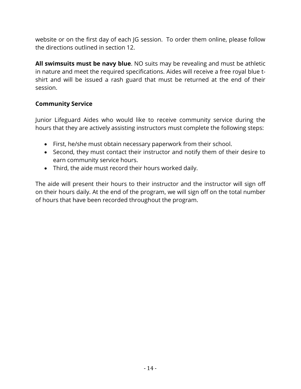website or on the first day of each JG session. To order them online, please follow the directions outlined in section 12.

**All swimsuits must be navy blue**. NO suits may be revealing and must be athletic in nature and meet the required specifications. Aides will receive a free royal blue tshirt and will be issued a rash guard that must be returned at the end of their session.

#### **Community Service**

Junior Lifeguard Aides who would like to receive community service during the hours that they are actively assisting instructors must complete the following steps:

- First, he/she must obtain necessary paperwork from their school.
- Second, they must contact their instructor and notify them of their desire to earn community service hours.
- Third, the aide must record their hours worked daily.

The aide will present their hours to their instructor and the instructor will sign off on their hours daily. At the end of the program, we will sign off on the total number of hours that have been recorded throughout the program.